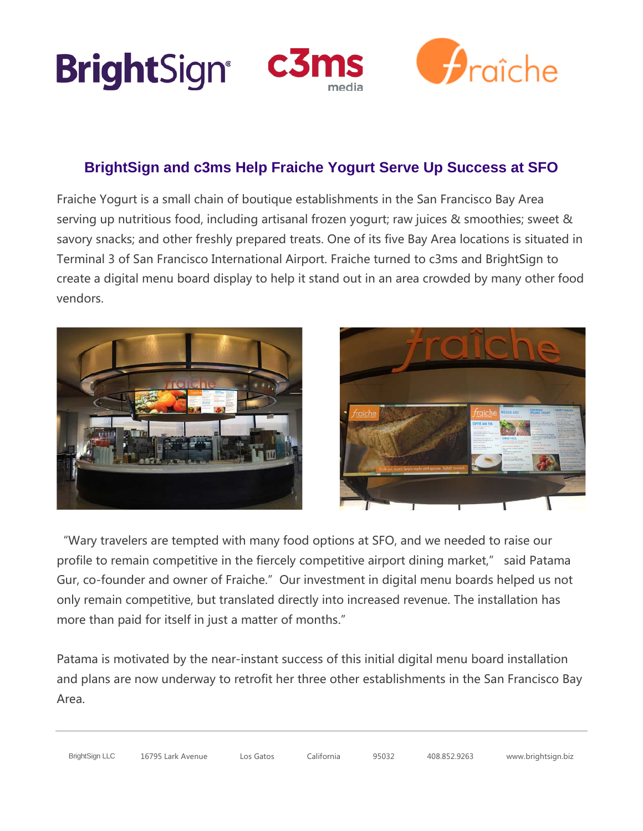





# **BrightSign and c3ms Help Fraiche Yogurt Serve Up Success at SFO**

Fraiche Yogurt is a small chain of boutique establishments in the San Francisco Bay Area serving up nutritious food, including artisanal frozen yogurt; raw juices & smoothies; sweet & savory snacks; and other freshly prepared treats. One of its five Bay Area locations is situated in Terminal 3 of San Francisco International Airport. Fraiche turned to c3ms and BrightSign to create a digital menu board display to help it stand out in an area crowded by many other food vendors.





"Wary travelers are tempted with many food options at SFO, and we needed to raise our profile to remain competitive in the fiercely competitive airport dining market," said Patama Gur, co-founder and owner of Fraiche." Our investment in digital menu boards helped us not only remain competitive, but translated directly into increased revenue. The installation has more than paid for itself in just a matter of months."

Patama is motivated by the near-instant success of this initial digital menu board installation and plans are now underway to retrofit her three other establishments in the San Francisco Bay Area.